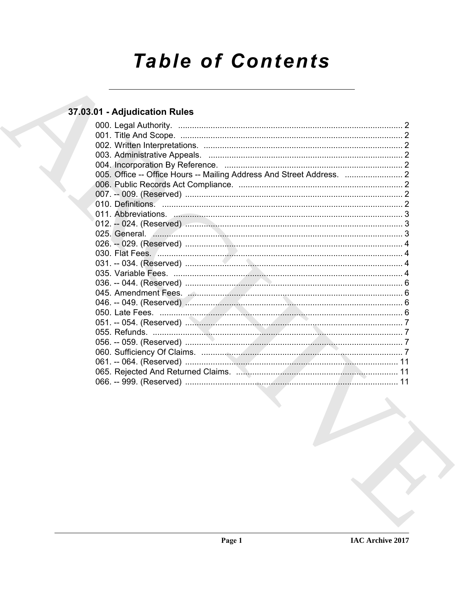# **Table of Contents**

### 37.03.01 - Adjudication Rules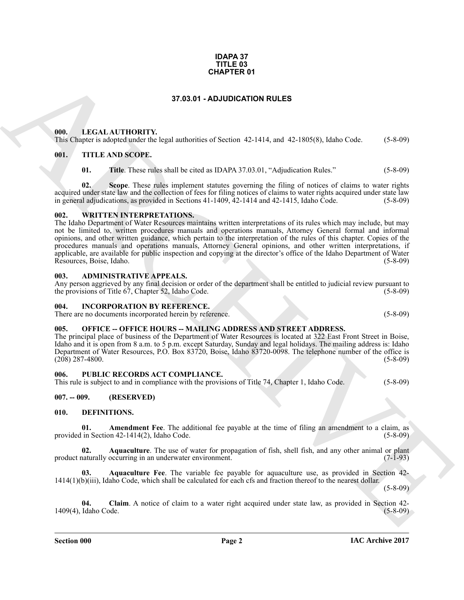#### **IDAPA 37 TITLE 03 CHAPTER 01**

#### **37.03.01 - ADJUDICATION RULES**

#### <span id="page-1-1"></span><span id="page-1-0"></span>**000. LEGAL AUTHORITY.**

This Chapter is adopted under the legal authorities of Section 42-1414, and 42-1805(8), Idaho Code. (5-8-09)

#### <span id="page-1-2"></span>**001. TITLE AND SCOPE.**

**01. Title**. These rules shall be cited as IDAPA 37.03.01, "Adjudication Rules." (5-8-09)

**02. Scope**. These rules implement statutes governing the filing of notices of claims to water rights acquired under state law and the collection of fees for filing notices of claims to water rights acquired under state law<br>in general adjudications, as provided in Sections 41-1409, 42-1414 and 42-1415. Idaho Code. (5-8-09) in general adjudications, as provided in Sections  $41-1409$ ,  $42-1414$  and  $42-1415$ , Idaho Code.

#### <span id="page-1-3"></span>**002. WRITTEN INTERPRETATIONS.**

**CHAPTER 01**<br> **STAGISTIONERY:**<br> **CHAPTER ON ACCORD CONTINUES**<br> **CHAPTER ON ACCORD CONTINUES**<br> **CHAPTER TRANSISTS INDICATION RULES**<br> **CHAPTER TRANSISTS**<br> **CHAPTER TRANSISTS**<br> **CHAPTER TRANSISTS**<br> **CHAPTER TRANSISTS**<br> **CHAP** The Idaho Department of Water Resources maintains written interpretations of its rules which may include, but may not be limited to, written procedures manuals and operations manuals, Attorney General formal and informal opinions, and other written guidance, which pertain to the interpretation of the rules of this chapter. Copies of the procedures manuals and operations manuals, Attorney General opinions, and other written interpretations, if applicable, are available for public inspection and copying at the director's office of the Idaho Department of Water<br>Resources, Boise, Idaho. (5-8-09) Resources, Boise, Idaho.

#### <span id="page-1-4"></span>**003. ADMINISTRATIVE APPEALS.**

Any person aggrieved by any final decision or order of the department shall be entitled to judicial review pursuant to the provisions of Title 67, Chapter 52, Idaho Code. (5-8-09) the provisions of Title  $67$ , Chapter 52, Idaho Code.

#### <span id="page-1-5"></span>**004. INCORPORATION BY REFERENCE.**

There are no documents incorporated herein by reference. (5-8-09)

#### <span id="page-1-6"></span>005. OFFICE -- OFFICE HOURS -- MAILING ADDRESS AND STREET ADDRESS.

The principal place of business of the Department of Water Resources is located at 322 East Front Street in Boise, Idaho and it is open from 8 a.m. to 5 p.m. except Saturday, Sunday and legal holidays. The mailing address is: Idaho Department of Water Resources, P.O. Box 83720, Boise, Idaho 83720-0098. The telephone number of the office is (208) 287-4800. (5-8-09)

#### <span id="page-1-7"></span>**006. PUBLIC RECORDS ACT COMPLIANCE.**

This rule is subject to and in compliance with the provisions of Title 74, Chapter 1, Idaho Code. (5-8-09)

#### <span id="page-1-8"></span>**007. -- 009. (RESERVED)**

#### <span id="page-1-10"></span><span id="page-1-9"></span>**010. DEFINITIONS.**

<span id="page-1-11"></span>**01.** Amendment Fee. The additional fee payable at the time of filing an amendment to a claim, as in Section 42-1414(2). Idaho Code. (5-8-09) provided in Section  $42-1414(2)$ , Idaho Code.

<span id="page-1-12"></span>**02.** Aquaculture. The use of water for propagation of fish, shell fish, and any other animal or plant naturally occurring in an underwater environment. (7-1-93) product naturally occurring in an underwater environment.

<span id="page-1-13"></span>**03. Aquaculture Fee**. The variable fee payable for aquaculture use, as provided in Section 42- 1414(1)(b)(iii), Idaho Code, which shall be calculated for each cfs and fraction thereof to the nearest dollar.

(5-8-09)

<span id="page-1-14"></span>**04.** Claim. A notice of claim to a water right acquired under state law, as provided in Section 42-<br>Idaho Code. (5-8-09) 1409(4), Idaho Code.

**Section 000 Page 2**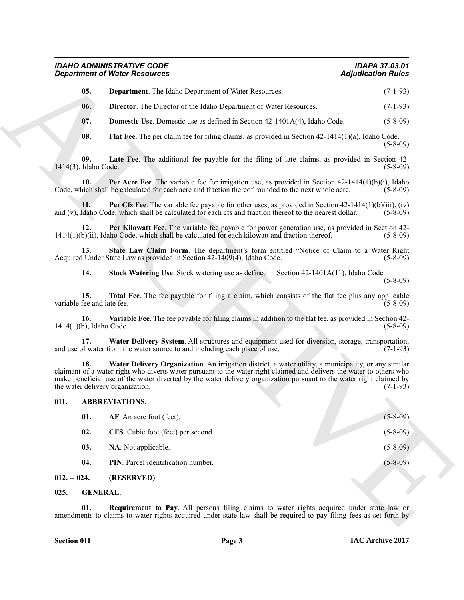#### *IDAHO ADMINISTRATIVE CODE IDAPA 37.03.01 Department of Water Resources*

<span id="page-2-11"></span><span id="page-2-10"></span><span id="page-2-9"></span><span id="page-2-8"></span><span id="page-2-7"></span><span id="page-2-6"></span><span id="page-2-5"></span><span id="page-2-4"></span><span id="page-2-3"></span>

| 05. | <b>Department.</b> The Idaho Department of Water Resources. | $(7-1-93)$ |
|-----|-------------------------------------------------------------|------------|
|     |                                                             |            |

#### <span id="page-2-16"></span><span id="page-2-15"></span><span id="page-2-14"></span><span id="page-2-13"></span><span id="page-2-12"></span><span id="page-2-0"></span>**011. ABBREVIATIONS.**

|                                         | <b>Department of Water Resources</b>                                                                                                                                                                                                                                                                                                                | <b>Adjudication Rules</b> |
|-----------------------------------------|-----------------------------------------------------------------------------------------------------------------------------------------------------------------------------------------------------------------------------------------------------------------------------------------------------------------------------------------------------|---------------------------|
| 05.                                     | <b>Department</b> . The Idaho Department of Water Resources.                                                                                                                                                                                                                                                                                        | $(7-1-93)$                |
| 06.                                     | <b>Director.</b> The Director of the Idaho Department of Water Resources.                                                                                                                                                                                                                                                                           | $(7-1-93)$                |
| 07.                                     | <b>Domestic Use</b> . Domestic use as defined in Section 42-1401A(4), Idaho Code.                                                                                                                                                                                                                                                                   | $(5-8-09)$                |
| 08.                                     | <b>Flat Fee.</b> The per claim fee for filing claims, as provided in Section $42-1414(1)(a)$ , Idaho Code.                                                                                                                                                                                                                                          | $(5-8-09)$                |
| 09.<br>1414(3), Idaho Code.             | Late Fee. The additional fee payable for the filing of late claims, as provided in Section 42-                                                                                                                                                                                                                                                      | $(5-8-09)$                |
| 10.                                     | <b>Per Acre Fee</b> . The variable fee for irrigation use, as provided in Section $42-1414(1)(b)(i)$ , Idaho<br>Code, which shall be calculated for each acre and fraction thereof rounded to the next whole acre.                                                                                                                                  | $(5-8-09)$                |
| 11.                                     | Per Cfs Fee. The variable fee payable for other uses, as provided in Section $42-1414(1)(b)(iii)$ , (iv)<br>and (v), Idaho Code, which shall be calculated for each cfs and fraction thereof to the nearest dollar.                                                                                                                                 | $(5-8-09)$                |
| 12.                                     | <b>Per Kilowatt Fee</b> . The variable fee payable for power generation use, as provided in Section 42-<br>$1414(1)(b)(ii)$ , Idaho Code, which shall be calculated for each kilowatt and fraction thereof.                                                                                                                                         | $(5-8-09)$                |
| 13.                                     | State Law Claim Form. The department's form entitled "Notice of Claim to a Water Right"<br>Acquired Under State Law as provided in Section 42-1409(4), Idaho Code.                                                                                                                                                                                  | $(5-8-09)$                |
| 14.                                     | Stock Watering Use. Stock watering use as defined in Section 42-1401A(11), Idaho Code.                                                                                                                                                                                                                                                              | $(5-8-09)$                |
| 15.<br>variable fee and late fee.       | Total Fee. The fee payable for filing a claim, which consists of the flat fee plus any applicable                                                                                                                                                                                                                                                   | $(5-8-09)$                |
| 16.<br>$1414(1)(b)$ , Idaho Code.       | <b>Variable Fee</b> . The fee payable for filing claims in addition to the flat fee, as provided in Section 42-                                                                                                                                                                                                                                     | $(5-8-09)$                |
| 17.                                     | Water Delivery System. All structures and equipment used for diversion, storage, transportation,<br>and use of water from the water source to and including each place of use.                                                                                                                                                                      | $(7-1-93)$                |
| 18.<br>the water delivery organization. | Water Delivery Organization. An irrigation district, a water utility, a municipality, or any similar<br>claimant of a water right who diverts water pursuant to the water right claimed and delivers the water to others who<br>make beneficial use of the water diverted by the water delivery organization pursuant to the water right claimed by | $(7-1-93)$                |
| 011.                                    | <b>ABBREVIATIONS.</b>                                                                                                                                                                                                                                                                                                                               |                           |
| 01.                                     | AF. An acre foot (feet).                                                                                                                                                                                                                                                                                                                            | $(5 - 8 - 09)$            |
| 02.                                     | CFS. Cubic foot (feet) per second.                                                                                                                                                                                                                                                                                                                  | $(5 - 8 - 09)$            |
| 03.                                     | NA. Not applicable.                                                                                                                                                                                                                                                                                                                                 | $(5 - 8 - 09)$            |
| 04.                                     | PIN. Parcel identification number.                                                                                                                                                                                                                                                                                                                  | $(5 - 8 - 09)$            |
| $012. - 024.$                           | (RESERVED)                                                                                                                                                                                                                                                                                                                                          |                           |
| <b>GENERAL.</b><br>025.                 |                                                                                                                                                                                                                                                                                                                                                     |                           |
| 01.                                     | Requirement to Pay. All persons filing claims to water rights acquired under state law or<br>amendments to claims to water rights acquired under state law shall be required to pay filing fees as set forth by                                                                                                                                     |                           |

#### <span id="page-2-1"></span>**012. -- 024. (RESERVED)**

#### <span id="page-2-18"></span><span id="page-2-17"></span><span id="page-2-2"></span>**025. GENERAL.**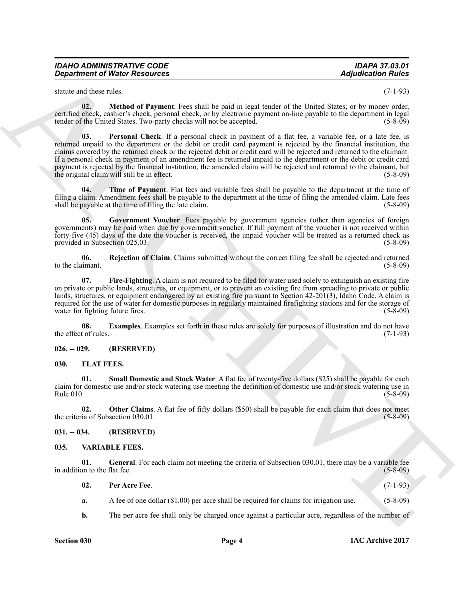| IDAHO ADMINISTRATIVE CODE            |  |
|--------------------------------------|--|
| <b>Department of Water Resources</b> |  |

<span id="page-3-10"></span>statute and these rules. (7-1-93)

<span id="page-3-11"></span>**02. Method of Payment**. Fees shall be paid in legal tender of the United States; or by money order, certified check, cashier's check, personal check, or by electronic payment on-line payable to the department in legal tender of the United States. Two-party checks will not be accepted. (5-8-09)

**Equivariant of Ninter Resources Adjusted for the system of the control of the system of the system of the system of the system of the system of the system of the system of the system of the system of the system of the 03. Personal Check**. If a personal check in payment of a flat fee, a variable fee, or a late fee, is returned unpaid to the department or the debit or credit card payment is rejected by the financial institution, the claims covered by the returned check or the rejected debit or credit card will be rejected and returned to the claimant. If a personal check in payment of an amendment fee is returned unpaid to the department or the debit or credit card payment is rejected by the financial institution, the amended claim will be rejected and returned to the claimant, but the original claim will still be in effect. the original claim will still be in effect.

<span id="page-3-13"></span>**04. Time of Payment**. Flat fees and variable fees shall be payable to the department at the time of filing a claim. Amendment fees shall be payable to the department at the time of filing the amended claim. Late fees shall be payable at the time of filing the late claim. (5-8-09)

<span id="page-3-9"></span>**05.** Government Voucher. Fees payable by government agencies (other than agencies of foreign governments) may be paid when due by government voucher. If full payment of the voucher is not received within forty-five (45) days of the date the voucher is received, the unpaid voucher will be treated as a returned check as provided in Subsection 025.03. (5-8-09)

<span id="page-3-12"></span>**06. Rejection of Claim**. Claims submitted without the correct filing fee shall be rejected and returned to the claimant. (5-8-09)

<span id="page-3-8"></span>**07. Fire-Fighting**. A claim is not required to be filed for water used solely to extinguish an existing fire on private or public lands, structures, or equipment, or to prevent an existing fire from spreading to private or public lands, structures, or equipment endangered by an existing fire pursuant to Section 42-201(3), Idaho Code. A claim is required for the use of water for domestic purposes in regularly maintained firefighting stations and for the storage of water for fighting future fires. (5-8-09) water for fighting future fires.

<span id="page-3-7"></span>**08. Examples**. Examples set forth in these rules are solely for purposes of illustration and do not have to f rules. (7-1-93) the effect of rules.

#### <span id="page-3-0"></span>**026. -- 029. (RESERVED)**

#### <span id="page-3-4"></span><span id="page-3-1"></span>**030. FLAT FEES.**

<span id="page-3-6"></span>**01. Small Domestic and Stock Water**. A flat fee of twenty-five dollars (\$25) shall be payable for each claim for domestic use and/or stock watering use meeting the definition of domestic use and/or stock watering use in  $Rule 010.$  (5-8-09)

<span id="page-3-5"></span>**02. Other Claims**. A flat fee of fifty dollars (\$50) shall be payable for each claim that does not meet ia of Subsection 030.01. (5-8-09) the criteria of Subsection 030.01.

<span id="page-3-2"></span>**031. -- 034. (RESERVED)**

#### <span id="page-3-14"></span><span id="page-3-3"></span>**035. VARIABLE FEES.**

**01.** General. For each claim not meeting the criteria of Subsection 030.01, there may be a variable fee on to the flat fee. (5-8-09) in addition to the flat fee.

<span id="page-3-16"></span><span id="page-3-15"></span>

| 02. | Per Acre Fee.                                                                            | $(7-1-93)$     |
|-----|------------------------------------------------------------------------------------------|----------------|
|     | A fee of one dollar $(\$1.00)$ per acre shall be required for claims for irrigation use. | $(5 - 8 - 09)$ |

**b.** The per acre fee shall only be charged once against a particular acre, regardless of the number of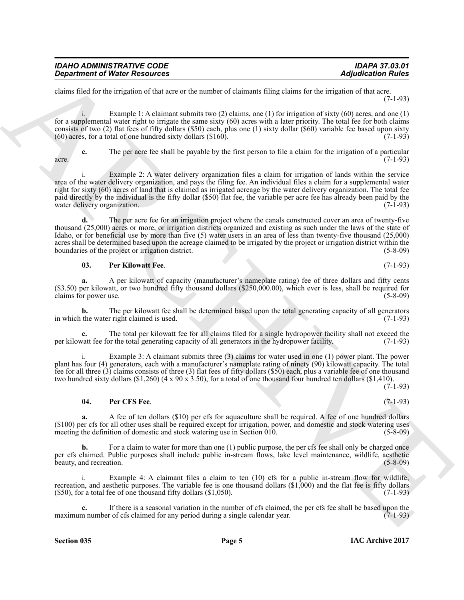| <b>IDAHO ADMINISTRATIVE CODE</b>     | <b>IDAPA 37.03.01</b>     |
|--------------------------------------|---------------------------|
| <b>Department of Water Resources</b> | <b>Adjudication Rules</b> |

claims filed for the irrigation of that acre or the number of claimants filing claims for the irrigation of that acre. (7-1-93)

i. Example 1: A claimant submits two (2) claims, one (1) for irrigation of sixty (60) acres, and one (1) for a supplemental water right to irrigate the same sixty (60) acres with a later priority. The total fee for both claims consists of two (2) flat fees of fifty dollars (\$50) each, plus one (1) sixty dollar (\$60) variable fee based upon sixty (60) acres, for a total of one hundred sixty dollars (\$160).  $(60)$  acres, for a total of one hundred sixty dollars  $(\$160)$ .

**c.** The per acre fee shall be payable by the first person to file a claim for the irrigation of a particular  $\alpha$  acre. (7-1-93)

**Department of Nicity Resources**<br>
Some their density and sevent to a matter of themsels, him, case to be an additional of the system of the system of the system of the system of the system of the system of the system of t i. Example 2: A water delivery organization files a claim for irrigation of lands within the service area of the water delivery organization, and pays the filing fee. An individual files a claim for a supplemental water right for sixty (60) acres of land that is claimed as irrigated acreage by the water delivery organization. The total fee paid directly by the individual is the fifty dollar (\$50) flat fee, the variable per acre fee has already been paid by the water delivery organization. (7-1-93) water delivery organization.

**d.** The per acre fee for an irrigation project where the canals constructed cover an area of twenty-five thousand (25,000) acres or more, or irrigation districts organized and existing as such under the laws of the state of Idaho, or for beneficial use by more than five (5) water users in an area of less than twenty-five thousand (25,000) acres shall be determined based upon the acreage claimed to be irrigated by the project or irrigation district within the boundaries of the project or irrigation district. (5-8-09)

#### <span id="page-4-1"></span>**03. Per Kilowatt Fee**. (7-1-93)

**a.** A per kilowatt of capacity (manufacturer's nameplate rating) fee of three dollars and fifty cents  $($ \$3.50) per kilowatt, or two hundred fifty thousand dollars  $($ \$250,000.00), which ever is less, shall be required for claims for power use. claims for power use.

**b.** The per kilowatt fee shall be determined based upon the total generating capacity of all generators the water right claimed is used. (7-1-93) in which the water right claimed is used.

The total per kilowatt fee for all claims filed for a single hydropower facility shall not exceed the per kilowatt fee for the total generating capacity of all generators in the hydropower facility. (7-1-93)

i. Example 3: A claimant submits three (3) claims for water used in one (1) power plant. The power plant has four (4) generators, each with a manufacturer's nameplate rating of ninety (90) kilowatt capacity. The total fee for all three (3) claims consists of three (3) flat fees of fifty dollars (\$50) each, plus a variable fee of one thousand two hundred sixty dollars (\$1,260) (4 x 90 x 3.50), for a total of one thousand four hundred ten dollars (\$1,410).

 $(7-1-93)$ 

#### <span id="page-4-0"></span>**04. Per CFS Fee**. (7-1-93)

**a.** A fee of ten dollars (\$10) per cfs for aquaculture shall be required. A fee of one hundred dollars  $(100)$  per cfs for all other uses shall be required except for irrigation, power, and domestic and stock watering uses meeting the definition of domestic and stock watering use in Section 010.  $(5-8-09)$ meeting the definition of domestic and stock watering use in Section 010.

For a claim to water for more than one (1) public purpose, the per cfs fee shall only be charged once per cfs claimed. Public purposes shall include public in-stream flows, lake level maintenance, wildlife, aesthetic beauty, and recreation. (5-8-09) beauty, and recreation.

Example 4: A claimant files a claim to ten (10) cfs for a public in-stream flow for wildlife, recreation, and aesthetic purposes. The variable fee is one thousand dollars (\$1,000) and the flat fee is fifty dollars  $(550)$ , for a total fee of one thousand fifty dollars  $(51,050)$ .  $(7-1-93)$ 

**c.** If there is a seasonal variation in the number of cfs claimed, the per cfs fee shall be based upon the number of cfs claimed for any period during a single calendar year. (7-1-93) maximum number of cfs claimed for any period during a single calendar year.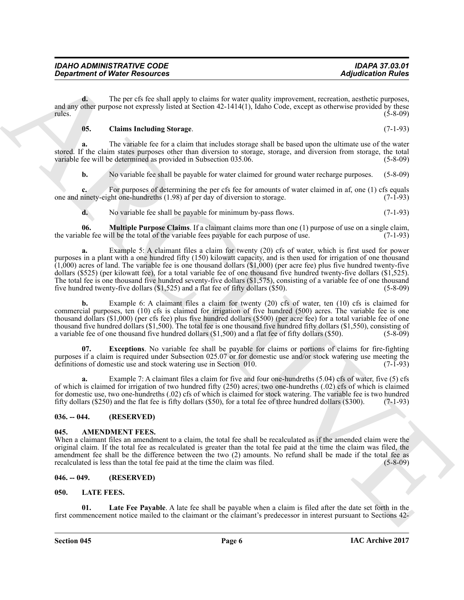**d.** The per cfs fee shall apply to claims for water quality improvement, recreation, aesthetic purposes, and any other purpose not expressly listed at Section 42-1414(1), Idaho Code, except as otherwise provided by these rules. (5-8-09) rules. (5-8-09)

#### <span id="page-5-7"></span>**05. Claims Including Storage**. (7-1-93)

**a.** The variable fee for a claim that includes storage shall be based upon the ultimate use of the water stored. If the claim states purposes other than diversion to storage, storage, and diversion from storage, the total variable fee will be determined as provided in Subsection 035.06. (5-8-09)

**b.** No variable fee shall be payable for water claimed for ground water recharge purposes. (5-8-09)

**c.** For purposes of determining the per cfs fee for amounts of water claimed in af, one (1) cfs equals one and ninety-eight one-hundreths (1.98) af per day of diversion to storage. (7-1-93)

<span id="page-5-9"></span>**d.** No variable fee shall be payable for minimum by-pass flows. (7-1-93)

**06. Multiple Purpose Claims**. If a claimant claims more than one (1) purpose of use on a single claim, ble fee will be the total of the variable fees payable for each purpose of use. (7-1-93) the variable fee will be the total of the variable fees payable for each purpose of use.

**Equivalent of Nicity Resolution** (Applies to the third plug in the state end of the particle and the particle and the particle and the particle and the state of the state of the state of the state of the state of the sta **a.** Example 5: A claimant files a claim for twenty (20) cfs of water, which is first used for power purposes in a plant with a one hundred fifty (150) kilowatt capacity, and is then used for irrigation of one thousand  $(1,000)$  acres of land. The variable fee is one thousand dollars  $(1,000)$  (per acre fee) plus five hundred twenty-five dollars (\$525) (per kilowatt fee), for a total variable fee of one thousand five hundred twenty-five dollars (\$1,525). The total fee is one thousand five hundred seventy-five dollars (\$1,575), consisting of a variable fee of one thousand five hundred twenty-five dollars (\$1,525) and a flat fee of fifty dollars (\$50). (5-8-09) five hundred twenty-five dollars  $(\$1,525)$  and a flat fee of fifty dollars  $(\$50)$ .

**b.** Example 6: A claimant files a claim for twenty (20) cfs of water, ten (10) cfs is claimed for commercial purposes, ten (10) cfs is claimed for irrigation of five hundred (500) acres. The variable fee is one thousand dollars (\$1,000) (per cfs fee) plus five hundred dollars (\$500) (per acre fee) for a total variable fee of one thousand five hundred dollars (\$1,500). The total fee is one thousand five hundred fifty dollars (\$1,550), consisting of a variable fee of one thousand five hundred dollars (\$1,500) and a flat fee of fifty dollars (\$50). (5-8-09)

<span id="page-5-8"></span>**07. Exceptions**. No variable fee shall be payable for claims or portions of claims for fire-fighting purposes if a claim is required under Subsection 025.07 or for domestic use and/or stock watering use meeting the definitions of domestic use and stock watering use in Section 010. definitions of domestic use and stock watering use in Section 010.

Example 7: A claimant files a claim for five and four one-hundreths (5.04) cfs of water, five (5) cfs of which is claimed for irrigation of two hundred fifty (250) acres, two one-hundreths (.02) cfs of which is claimed for domestic use, two one-hundreths (.02) cfs of which is claimed for stock watering. The variable fee is two hundred fifty dollars (\$250) and the flat fee is fifty dollars (\$50), for a total fee of three hundred dollars (\$300). (7-1-93)

#### <span id="page-5-0"></span>**036. -- 044. (RESERVED)**

#### <span id="page-5-4"></span><span id="page-5-1"></span>**045. AMENDMENT FEES.**

When a claimant files an amendment to a claim, the total fee shall be recalculated as if the amended claim were the original claim. If the total fee as recalculated is greater than the total fee paid at the time the claim was filed, the amendment fee shall be the difference between the two (2) amounts. No refund shall be made if the total fee as recalculated is less than the total fee paid at the time the claim was filed. (5-8-09) recalculated is less than the total fee paid at the time the claim was filed.

#### <span id="page-5-2"></span>**046. -- 049. (RESERVED)**

#### <span id="page-5-5"></span><span id="page-5-3"></span>**050. LATE FEES.**

<span id="page-5-6"></span>**Late Fee Payable**. A late fee shall be payable when a claim is filed after the date set forth in the first commencement notice mailed to the claimant or the claimant's predecessor in interest pursuant to Sections 42-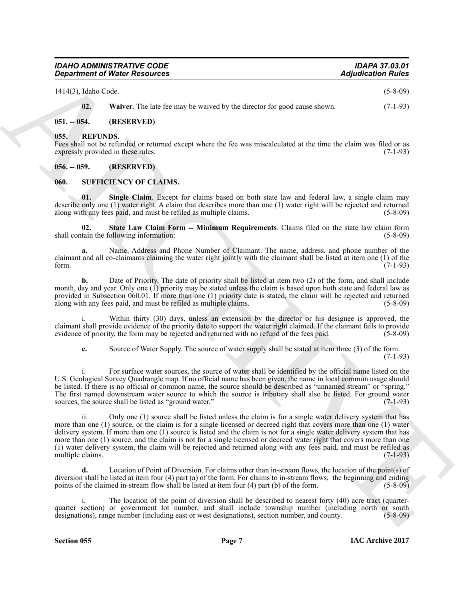| <b>IDAHO ADMINISTRATIVE CODE</b>     | <b>IDAPA 37.03.01</b>     |
|--------------------------------------|---------------------------|
| <b>Department of Water Resources</b> | <b>Adjudication Rules</b> |

1414(3), Idaho Code. (5-8-09)

<span id="page-6-5"></span><span id="page-6-4"></span>**02.** Waiver. The late fee may be waived by the director for good cause shown. (7-1-93)

#### <span id="page-6-0"></span>**051. -- 054. (RESERVED)**

#### <span id="page-6-1"></span>**055. REFUNDS.**

Fees shall not be refunded or returned except where the fee was miscalculated at the time the claim was filed or as expressly provided in these rules. (7-1-93) expressly provided in these rules.

#### <span id="page-6-2"></span>**056. -- 059. (RESERVED)**

#### <span id="page-6-6"></span><span id="page-6-3"></span>**060. SUFFICIENCY OF CLAIMS.**

<span id="page-6-7"></span>**01. Single Claim**. Except for claims based on both state law and federal law, a single claim may describe only one (1) water right. A claim that describes more than one (1) water right will be rejected and returned along with any fees paid, and must be refiled as multiple claims. (5-8-09) along with any fees paid, and must be refiled as multiple claims.

<span id="page-6-8"></span>**02. State Law Claim Form -- Minimum Requirements**. Claims filed on the state law claim form shall contain the following information:

**a.** Name, Address and Phone Number of Claimant. The name, address, and phone number of the claimant and all co-claimants claiming the water right jointly with the claimant shall be listed at item one (1) of the form. (7-1-93)

**b.** Date of Priority. The date of priority shall be listed at item two (2) of the form, and shall include month, day and year. Only one (1) priority may be stated unless the claim is based upon both state and federal law as provided in Subsection 060.01. If more than one (1) priority date is stated, the claim will be rejected and returned along with any fees paid, and must be refiled as multiple claims. (5-8-09) along with any fees paid, and must be refiled as multiple claims.

i. Within thirty (30) days, unless an extension by the director or his designee is approved, the claimant shall provide evidence of the priority date to support the water right claimed. If the claimant fails to provide evidence of priority, the form may be rejected and returned with no refund of the fees paid.

**c.** Source of Water Supply. The source of water supply shall be stated at item three (3) of the form.  $(7-1-93)$ 

i. For surface water sources, the source of water shall be identified by the official name listed on the U.S. Geological Survey Quadrangle map. If no official name has been given, the name in local common usage should be listed. If there is no official or common name, the source should be described as "unnamed stream" or "spring." The first named downstream water source to which the source is tributary shall also be listed. For ground water sources, the source shall be listed as "ground water." (7-1-93)

**Equivalent of Weise Newsletter Assumes Adjusted for Altistatic Constraints (Adjusted for Altistatic Constraints)**<br>
14 (1), 14 (1), 14 (1), 14 (1), 14 (1), 14 (1), 14 (1), 14 (1), 14 (1), 14 (1), 14 (1), 14 (1), 14 (1), 1 ii. Only one (1) source shall be listed unless the claim is for a single water delivery system that has more than one (1) source, or the claim is for a single licensed or decreed right that covers more than one (1) water delivery system. If more than one (1) source is listed and the claim is not for a single water delivery system that has more than one (1) source, and the claim is not for a single licensed or decreed water right that covers more than one (1) water delivery system, the claim will be rejected and returned along with any fees paid, and must be refiled as multiple claims.

**d.** Location of Point of Diversion. For claims other than in-stream flows, the location of the point(s) of diversion shall be listed at item four (4) part (a) of the form. For claims to in-stream flows, the beginning and ending points of the claimed in-stream flow shall be listed at item four (4) part (b) of the form. (5-8-09) points of the claimed in-stream flow shall be listed at item four  $(4)$  part  $(b)$  of the form.

i. The location of the point of diversion shall be described to nearest forty (40) acre tract (quarterquarter section) or government lot number, and shall include township number (including north or south designations), range number (including east or west designations), section number, and county. (5-8-09) designations), range number (including east or west designations), section number, and county.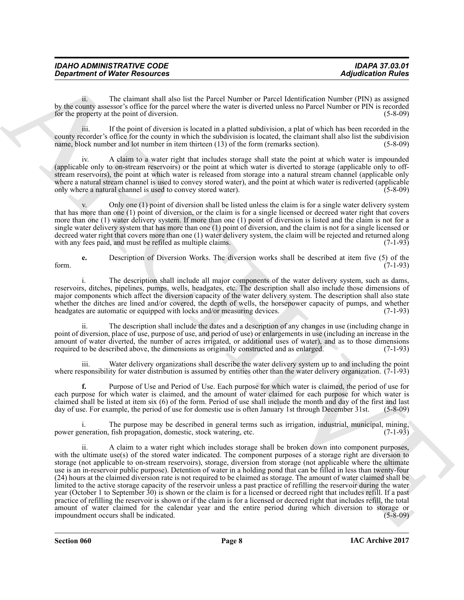| <b>IDAHO ADMINISTRATIVE CODE</b>     | <b>IDAPA 37.03.01</b>     |
|--------------------------------------|---------------------------|
| <b>Department of Water Resources</b> | <b>Adjudication Rules</b> |

ii. The claimant shall also list the Parcel Number or Parcel Identification Number (PIN) as assigned by the county assessor's office for the parcel where the water is diverted unless no Parcel Number or PIN is recorded<br>for the property at the point of diversion. (5-8-09) for the property at the point of diversion.

iii. If the point of diversion is located in a platted subdivision, a plat of which has been recorded in the county recorder's office for the county in which the subdivision is located, the claimant shall also list the subdivision name, block number and lot number in item thirteen (13) of the form (remarks section). (5-8-09)

iv. A claim to a water right that includes storage shall state the point at which water is impounded (applicable only to on-stream reservoirs) or the point at which water is diverted to storage (applicable only to offstream reservoirs), the point at which water is released from storage into a natural stream channel (applicable only where a natural stream channel is used to convey stored water), and the point at which water is rediverted (applicable<br>only where a natural channel is used to convey stored water). only where a natural channel is used to convey stored water).

Only one  $(1)$  point of diversion shall be listed unless the claim is for a single water delivery system that has more than one (1) point of diversion, or the claim is for a single licensed or decreed water right that covers more than one (1) water delivery system. If more than one (1) point of diversion is listed and the claim is not for a single water delivery system that has more than one (1) point of diversion, and the claim is not for a single licensed or decreed water right that covers more than one (1) water delivery system, the claim will be rejected and returned along with any fees paid, and must be refiled as multiple claims. with any fees paid, and must be refiled as multiple claims.

**e.** Description of Diversion Works. The diversion works shall be described at item five (5) of the form. (7-1-93)

i. The description shall include all major components of the water delivery system, such as dams, reservoirs, ditches, pipelines, pumps, wells, headgates, etc. The description shall also include those dimensions of major components which affect the diversion capacity of the water delivery system. The description shall also state whether the ditches are lined and/or covered, the depth of wells, the horsepower capacity of pumps, and whether headgates are automatic or equipped with locks and/or measuring devices. (7-1-93)

ii. The description shall include the dates and a description of any changes in use (including change in point of diversion, place of use, purpose of use, and period of use) or enlargements in use (including an increase in the amount of water diverted, the number of acres irrigated, or additional uses of water), and as to those dimensions required to be described above, the dimensions as originally constructed and as enlarged. (7-1-93) required to be described above, the dimensions as originally constructed and as enlarged.

iii. Water delivery organizations shall describe the water delivery system up to and including the point where responsibility for water distribution is assumed by entities other than the water delivery organization. (7-1-93)

**f.** Purpose of Use and Period of Use. Each purpose for which water is claimed, the period of use for each purpose for which water is claimed, and the amount of water claimed for each purpose for which water is claimed shall be listed at item six (6) of the form. Period of use shall include the month and day of the first and last day of use. For example, the period of use for domestic use is often January 1st through December 31st. (5-8-09)

i. The purpose may be described in general terms such as irrigation, industrial, municipal, mining, eneration. fish propagation, domestic, stock watering, etc. (7-1-93) power generation, fish propagation, domestic, stock watering, etc.

*Consistence of Water Resources* **Adjusted mini-**<br> **Agriculture of the signal state is a state based by the constraint of the signal state of the signal state of the signal state of the signal state of the signal state** A claim to a water right which includes storage shall be broken down into component purposes, with the ultimate use(s) of the stored water indicated. The component purposes of a storage right are diversion to storage (not applicable to on-stream reservoirs), storage, diversion from storage (not applicable where the ultimate use is an in-reservoir public purpose). Detention of water in a holding pond that can be filled in less than twenty-four (24) hours at the claimed diversion rate is not required to be claimed as storage. The amount of water claimed shall be limited to the active storage capacity of the reservoir unless a past practice of refilling the reservoir during the water year (October 1 to September 30) is shown or the claim is for a licensed or decreed right that includes refill. If a past practice of refilling the reservoir is shown or if the claim is for a licensed or decreed right that includes refill, the total amount of water claimed for the calendar year and the entire period during which diversion to storage or impoundment occurs shall be indicated. (5-8-09) impoundment occurs shall be indicated.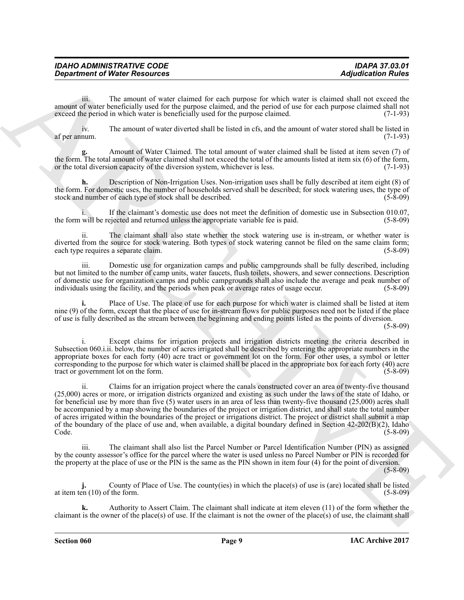| <b>IDAHO ADMINISTRATIVE CODE</b>     | <b>IDAPA 37.03.01</b>     |
|--------------------------------------|---------------------------|
| <b>Department of Water Resources</b> | <b>Adjudication Rules</b> |

iii. The amount of water claimed for each purpose for which water is claimed shall not exceed the amount of water beneficially used for the purpose claimed, and the period of use for each purpose claimed shall not exceed the period in which water is beneficially used for the purpose claimed. (7-1-93) exceed the period in which water is beneficially used for the purpose claimed.

iv. The amount of water diverted shall be listed in cfs, and the amount of water stored shall be listed in af per annum.

**g.** Amount of Water Claimed. The total amount of water claimed shall be listed at item seven (7) of the form. The total amount of water claimed shall not exceed the total of the amounts listed at item six (6) of the form, or the total diversion capacity of the diversion system, whichever is less.  $(7-1-93)$ or the total diversion capacity of the diversion system, whichever is less.

**h.** Description of Non-Irrigation Uses. Non-irrigation uses shall be fully described at item eight (8) of the form. For domestic uses, the number of households served shall be described; for stock watering uses, the type of stock and number of each type of stock shall be described. (5-8-09)

i. If the claimant's domestic use does not meet the definition of domestic use in Subsection 010.07, the form will be rejected and returned unless the appropriate variable fee is paid.

ii. The claimant shall also state whether the stock watering use is in-stream, or whether water is diverted from the source for stock watering. Both types of stock watering cannot be filed on the same claim form;<br>each type requires a separate claim. (5-8-09) each type requires a separate claim.

Domestic use for organization camps and public campgrounds shall be fully described, including but not limited to the number of camp units, water faucets, flush toilets, showers, and sewer connections. Description of domestic use for organization camps and public campgrounds shall also include the average and peak number of individuals using the facility, and the periods when peak or average rates of usage occur. (5-8-09) individuals using the facility, and the periods when peak or average rates of usage occur.

Place of Use. The place of use for each purpose for which water is claimed shall be listed at item nine (9) of the form, except that the place of use for in-stream flows for public purposes need not be listed if the place of use is fully described as the stream between the beginning and ending points listed as the points of diversion.

(5-8-09)

i. Except claims for irrigation projects and irrigation districts meeting the criteria described in Subsection 060.i.ii. below, the number of acres irrigated shall be described by entering the appropriate numbers in the appropriate boxes for each forty (40) acre tract or government lot on the form. For other uses, a symbol or letter corresponding to the purpose for which water is claimed shall be placed in the appropriate box for each forty (40) acre<br>tract or government lot on the form. (5-8-09) tract or government lot on the form.

**Exparament of Ninter Resources Adjusted minimal** the teach agence for which was the signature of the signature of the signature of the signature of the signature of the signature of the signature of the signature of th ii. Claims for an irrigation project where the canals constructed cover an area of twenty-five thousand (25,000) acres or more, or irrigation districts organized and existing as such under the laws of the state of Idaho, or for beneficial use by more than five (5) water users in an area of less than twenty-five thousand (25,000) acres shall be accompanied by a map showing the boundaries of the project or irrigation district, and shall state the total number of acres irrigated within the boundaries of the project or irrigations district. The project or district shall submit a map of the boundary of the place of use and, when available, a digital boundary defined in Section  $42-202(B)(2)$ , Idaho Code. Code. (5-8-09)

iii. The claimant shall also list the Parcel Number or Parcel Identification Number (PIN) as assigned by the county assessor's office for the parcel where the water is used unless no Parcel Number or PIN is recorded for the property at the place of use or the PIN is the same as the PIN shown in item four (4) for the point of diversion.

(5-8-09)

**j.** County of Place of Use. The county(ies) in which the place(s) of use is (are) located shall be listed en (10) of the form. (5-8-09) at item ten  $(10)$  of the form.

**k.** Authority to Assert Claim. The claimant shall indicate at item eleven (11) of the form whether the claimant is the owner of the place(s) of use. If the claimant is not the owner of the place(s) of use, the claimant shall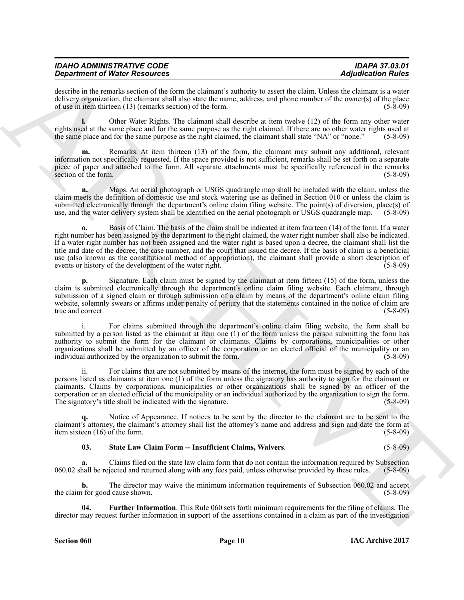| <b>IDAHO ADMINISTRATIVE CODE</b>     | <b>IDAPA 37.03.01</b>     |
|--------------------------------------|---------------------------|
| <b>Department of Water Resources</b> | <b>Adjudication Rules</b> |

describe in the remarks section of the form the claimant's authority to assert the claim. Unless the claimant is a water delivery organization, the claimant shall also state the name, address, and phone number of the owner(s) of the place of use in item thirteen (13) (remarks section) of the form. (5-8-09) of use in item thirteen  $(13)$  (remarks section) of the form.

**l.** Other Water Rights. The claimant shall describe at item twelve (12) of the form any other water rights used at the same place and for the same purpose as the right claimed. If there are no other water rights used at the same place and for the same purpose as the right claimed, the claimant shall state "NA" or "none." the same place and for the same purpose as the right claimed, the claimant shall state "NA" or "none."

**m.** Remarks. At item thirteen (13) of the form, the claimant may submit any additional, relevant information not specifically requested. If the space provided is not sufficient, remarks shall be set forth on a separate piece of paper and attached to the form. All separate attachments must be specifically referenced in the remarks section of the form. (5-8-09) section of the form.

**n.** Maps. An aerial photograph or USGS quadrangle map shall be included with the claim, unless the claim meets the definition of domestic use and stock watering use as defined in Section 010 or unless the claim is submitted electronically through the department's online claim filing website. The point(s) of diversion, place(s) of use, and the water delivery system shall be identified on the aerial photograph or USGS quadrangle map. use, and the water delivery system shall be identified on the aerial photograph or USGS quadrangle map.

Graduation of Water Research as the material detection of the state of the state of the state of Research and the state of the state of the state of the state of the state of the state of the state of the state of the sta **o.** Basis of Claim. The basis of the claim shall be indicated at item fourteen (14) of the form. If a water right number has been assigned by the department to the right claimed, the water right number shall also be indicated. If a water right number has not been assigned and the water right is based upon a decree, the claimant shall list the title and date of the decree, the case number, and the court that issued the decree. If the basis of claim is a beneficial use (also known as the constitutional method of appropriation), the claimant shall provide a short description of events or history of the development of the water right. (5-8-09)

**p.** Signature. Each claim must be signed by the claimant at item fifteen (15) of the form, unless the claim is submitted electronically through the department's online claim filing website. Each claimant, through submission of a signed claim or through submission of a claim by means of the department's online claim filing website, solemnly swears or affirms under penalty of perjury that the statements contained in the notice of claim are true and correct. (5-8-09) true and correct.

i. For claims submitted through the department's online claim filing website, the form shall be submitted by a person listed as the claimant at item one (1) of the form unless the person submitting the form has authority to submit the form for the claimant or claimants. Claims by corporations, municipalities or other organizations shall be submitted by an officer of the corporation or an elected official of the municipality or an individual authorized by the organization to submit the form. (5-8-09)

ii. For claims that are not submitted by means of the internet, the form must be signed by each of the persons listed as claimants at item one (1) of the form unless the signatory has authority to sign for the claimant or claimants. Claims by corporations, municipalities or other organizations shall be signed by an officer of the corporation or an elected official of the municipality or an individual authorized by the organization to sign the form. The signatory's title shall be indicated with the signature. (5-8-09)

Notice of Appearance. If notices to be sent by the director to the claimant are to be sent to the claimant's attorney, the claimant's attorney shall list the attorney's name and address and sign and date the form at item sixteen (16) of the form. (5-8-09) item sixteen  $(16)$  of the form.

#### <span id="page-9-1"></span>**03. State Law Claim Form -- Insufficient Claims, Waivers**. (5-8-09)

**a.** Claims filed on the state law claim form that do not contain the information required by Subsection hall be rejected and returned along with any fees paid, unless otherwise provided by these rules. (5-8-09) 060.02 shall be rejected and returned along with any fees paid, unless otherwise provided by these rules.

**b.** The director may waive the minimum information requirements of Subsection 060.02 and accept of for good cause shown. (5-8-09) the claim for good cause shown.

<span id="page-9-0"></span>**04. Further Information**. This Rule 060 sets forth minimum requirements for the filing of claims. The director may request further information in support of the assertions contained in a claim as part of the investigation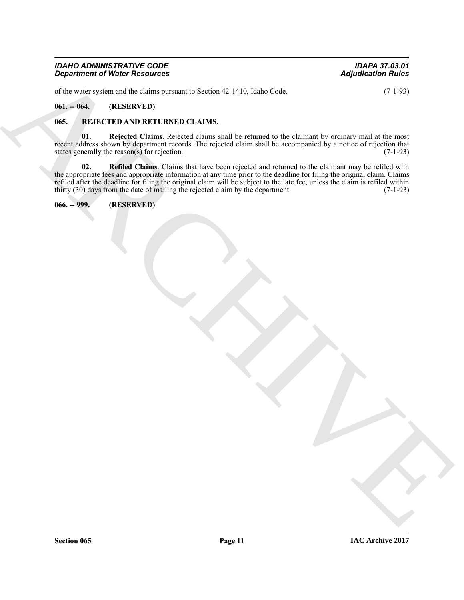| <b>IDAHO ADMINISTRATIVE CODE</b>     | <b>IDAPA 37.03.01</b>     |
|--------------------------------------|---------------------------|
| <b>Department of Water Resources</b> | <b>Adjudication Rules</b> |

of the water system and the claims pursuant to Section 42-1410, Idaho Code. (7-1-93)

#### <span id="page-10-0"></span>**061. -- 064. (RESERVED)**

#### <span id="page-10-3"></span><span id="page-10-1"></span>**065. REJECTED AND RETURNED CLAIMS.**

<span id="page-10-5"></span><span id="page-10-4"></span>**01. Rejected Claims**. Rejected claims shall be returned to the claimant by ordinary mail at the most recent address shown by department records. The rejected claim shall be accompanied by a notice of rejection that states generally the reason(s) for rejection. (7-1-93) states generally the reason(s) for rejection.

*Department of Water Residues*<br>
while the state of the state and the state of the state of the state of the state of the state of the state of the state of the state of the state of the state of the state of the state of **02. Refiled Claims**. Claims that have been rejected and returned to the claimant may be refiled with the appropriate fees and appropriate information at any time prior to the deadline for filing the original claim. Claims refiled after the deadline for filing the original claim will be subject to the late fee, unless the claim is refiled within thirty (30) days from the date of mailing the rejected claim by the department. (7-1-93) thirty  $(30)$  days from the date of mailing the rejected claim by the department.

<span id="page-10-2"></span>**066. -- 999. (RESERVED)**